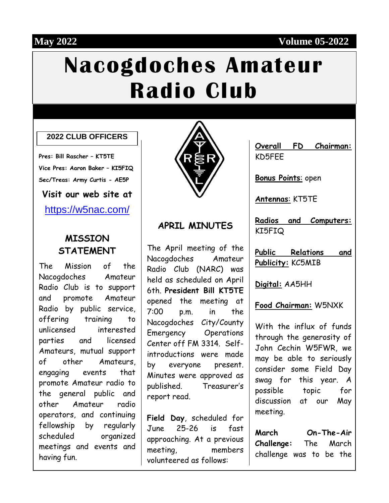#### **May 2022 Volume 05-2022**

# **Nacogdoches Amateur Radio Club**

#### **2022 CLUB OFFICERS**

**Pres: Bill Rascher – KT5TE Vice Pres: Aaron Baker – KI5FIQ Sec/Treas: Army Curtis - AE5P Visit our web site at**

<https://w5nac.com/>

#### **MISSION STATEMENT**

The Mission of the Nacogdoches Amateur Radio Club is to support and promote Amateur Radio by public service, offering training to unlicensed interested parties and licensed Amateurs, mutual support of other Amateurs, engaging events that promote Amateur radio to the general public and other Amateur radio operators, and continuing fellowship by regularly scheduled organized meetings and events and having fun.



#### **APRIL MINUTES**

The April meeting of the Nacogdoches Amateur Radio Club (NARC) was held as scheduled on April 6th. **President Bill KT5TE** opened the meeting at 7:00 p.m. in the Nacogdoches City/County Emergency Operations Center off FM 3314. Selfintroductions were made by everyone present. Minutes were approved as published. Treasurer's report read.

**Field Day**, scheduled for June 25-26 is fast approaching. At a previous meeting, members volunteered as follows:

|        | Overall FD Chairman: |
|--------|----------------------|
| KD5FEE |                      |

**Bonus Points**: open

**Antennas**: KT5TE

**Radios and Computers:** KI5FIQ

**Public Relations and Publicity:** KC5MIB

**Digital:** AA5HH

**Food Chairman:** W5NXK

With the influx of funds through the generosity of John Cechin W5FWR, we may be able to seriously consider some Field Day swag for this year. A possible topic for discussion at our May meeting.

**March On-The-Air Challenge:** The March challenge was to be the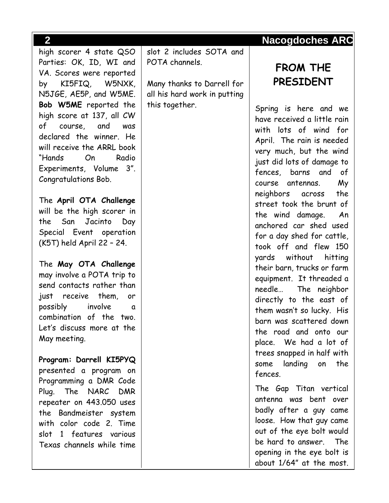high scorer 4 state QSO Parties: OK, ID, WI and VA. Scores were reported by KI5FIQ, W5NXK, N5JGE, AE5P, and W5ME. **Bob W5ME** reported the high score at 137, all CW of course, and was declared the winner. He will receive the ARRL book "Hands On Radio Experiments, Volume 3". Congratulations Bob.

The **April OTA Challenge** will be the high scorer in the San Jacinto Day Special Event operation (K5T) held April 22 – 24.

The **May OTA Challenge** may involve a POTA trip to send contacts rather than just receive them, or possibly involve a combination of the two. Let's discuss more at the May meeting.

**Program: Darrell KI5PYQ** presented a program on Programming a DMR Code Plug. The NARC DMR repeater on 443.050 uses the Bandmeister system with color code 2. Time slot 1 features various Texas channels while time

slot 2 includes SOTA and POTA channels.

Many thanks to Darrell for all his hard work in putting this together.

# **FROM THE PRESIDENT**

Spring is here and we have received a little rain with lots of wind for April. The rain is needed very much, but the wind just did lots of damage to fences, barns and of course antennas. My neighbors across the street took the brunt of the wind damage. An anchored car shed used for a day shed for cattle, took off and flew 150 yards without hitting their barn, trucks or farm equipment. It threaded a needle… The neighbor directly to the east of them wasn't so lucky. His barn was scattered down the road and onto our place. We had a lot of trees snapped in half with some landing on the fences. The Gap Titan vertical

antenna was bent over badly after a guy came loose. How that guy came out of the eye bolt would be hard to answer. The opening in the eye bolt is about 1/64" at the most.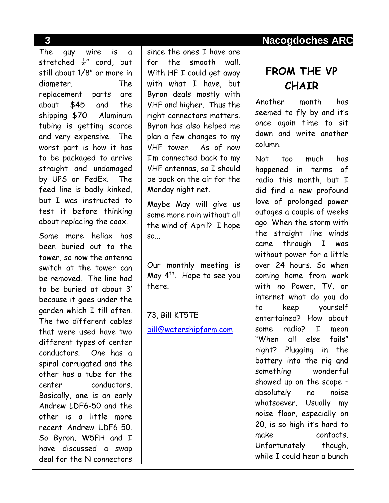The guy wire is a stretched  $\frac{1}{4}$ " cord, but still about 1/8" or more in diameter. The replacement parts are about \$45 and the shipping \$70. Aluminum tubing is getting scarce and very expensive. The worst part is how it has to be packaged to arrive straight and undamaged by UPS or FedEx. The feed line is badly kinked, but I was instructed to test it before thinking about replacing the coax.

Some more heliax has been buried out to the tower, so now the antenna switch at the tower can be removed. The line had to be buried at about 3' because it goes under the garden which I till often. The two different cables that were used have two different types of center conductors. One has a spiral corrugated and the other has a tube for the center conductors. Basically, one is an early Andrew LDF6-50 and the other is a little more recent Andrew LDF6-50. So Byron, W5FH and I have discussed a swap deal for the N connectors

since the ones I have are for the smooth wall. With HF I could get away with what I have, but Byron deals mostly with VHF and higher. Thus the right connectors matters. Byron has also helped me plan a few changes to my VHF tower. As of now I'm connected back to my VHF antennas, so I should be back on the air for the Monday night net.

Maybe May will give us some more rain without all the wind of April? I hope so...

Our monthly meeting is May  $4<sup>th</sup>$ . Hope to see you there.

73, Bill KT5TE [bill@watershipfarm.com](mailto:bill@watershipfarm.com)

#### **3 Nacogdoches ARC**

# **FROM THE VP CHAIR**

Another month has seemed to fly by and it's once again time to sit down and write another column.

Not too much has happened in terms of radio this month, but I did find a new profound love of prolonged power outages a couple of weeks ago. When the storm with the straight line winds came through I was without power for a little over 24 hours. So when coming home from work with no Power, TV, or internet what do you do to keep yourself entertained? How about some radio? I mean "When all else fails" right? Plugging in the battery into the rig and something wonderful showed up on the scope – absolutely no noise whatsoever. Usually my noise floor, especially on 20, is so high it's hard to make contacts. Unfortunately though, while I could hear a bunch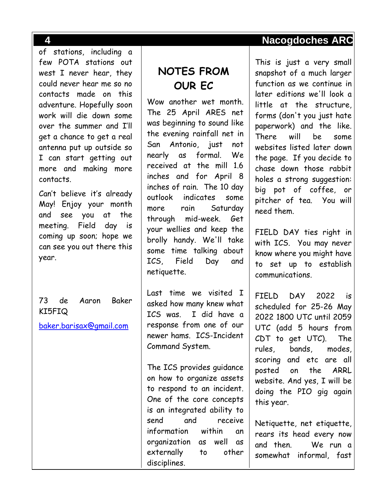of stations, including a few POTA stations out west I never hear, they could never hear me so no contacts made on this adventure. Hopefully soon work will die down some over the summer and I'll get a chance to get a real antenna put up outside so I can start getting out more and making more contacts.

Can't believe it's already May! Enjoy your month and see you at the meeting. Field day is coming up soon; hope we can see you out there this year.

73 de Aaron Baker KI5FIQ

[baker.barisax@gmail.com](mailto:baker.barisax@gmail.com)

# **NOTES FROM OUR EC**

Wow another wet month. The 25 April ARES net was beginning to sound like the evening rainfall net in San Antonio, just not nearly as formal. We received at the mill 1.6 inches and for April 8 inches of rain. The 10 day outlook indicates some more rain Saturday through mid-week. Get your wellies and keep the brolly handy. We'll take some time talking about ICS, Field Day and netiquette.

Last time we visited I asked how many knew what ICS was. I did have a response from one of our newer hams. ICS-Incident Command System.

The ICS provides guidance on how to organize assets to respond to an incident. One of the core concepts is an integrated ability to send and receive information within an organization as well as externally to other disciplines.

This is just a very small snapshot of a much larger function as we continue in later editions we'll look a little at the structure, forms (don't you just hate paperwork) and the like. There will be some websites listed later down the page. If you decide to chase down those rabbit holes a strong suggestion: big pot of coffee, or pitcher of tea. You will need them.

FIELD DAY ties right in with ICS. You may never know where you might have to set up to establish communications.

FIELD DAY 2022 is scheduled for 25-26 May 2022 1800 UTC until 2059 UTC (add 5 hours from CDT to get UTC). The rules, bands, modes, scoring and etc are all posted on the ARRL website. And yes, I will be doing the PIO gig again this year.

Netiquette, net etiquette, rears its head every now and then. We run a somewhat informal, fast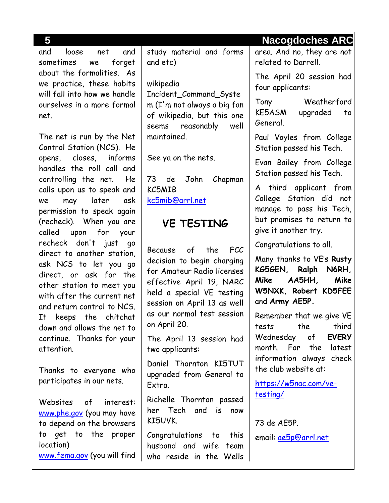and loose net and sometimes we forget about the formalities. As we practice, these habits will fall into how we handle ourselves in a more formal net.

The net is run by the Net Control Station (NCS). He opens, closes, informs handles the roll call and controlling the net. He calls upon us to speak and we may later ask permission to speak again (recheck). When you are called upon for your recheck don't just go direct to another station, ask NCS to let you go direct, or ask for the other station to meet you with after the current net and return control to NCS. It keeps the chitchat down and allows the net to continue. Thanks for your attention.

Thanks to everyone who participates in our nets.

Websites of interest: <www.phe.gov> (you may have to depend on the browsers to get to the proper location)

<www.fema.gov> (you will find

study material and forms and etc)

wikipedia Incident\_Command\_Syste m (I'm not always a big fan of wikipedia, but this one seems reasonably well maintained.

See ya on the nets.

73 de John Chapman KC5MIB [kc5mib@arrl.net](mailto:kc5mib@arrl.net)

# **VE TESTING**

Because of the FCC decision to begin charging for Amateur Radio licenses effective April 19, NARC held a special VE testing session on April 13 as well as our normal test session on April 20.

The April 13 session had two applicants:

Daniel Thornton KI5TUT upgraded from General to Extra.

Richelle Thornton passed her Tech and is now KI5UVK.

Congratulations to this husband and wife team who reside in the Wells area. And no, they are not related to Darrell.

The April 20 session had four applicants:

Tony Weatherford KE5ASM upgraded to General.

Paul Voyles from College Station passed his Tech.

Evan Bailey from College Station passed his Tech.

A third applicant from College Station did not manage to pass his Tech, but promises to return to give it another try.

Congratulations to all.

Many thanks to VE's **Rusty KG5GEN, Ralph N6RH, Mike AA5HH, Mike W5NXK, Robert KD5FEE** and **Army AE5P.**

Remember that we give VE tests the third Wednesday of **EVERY** month. For the latest information always check the club website at:

[https://w5nac.com/ve](https://w5nac.com/ve-testing/)[testing/](https://w5nac.com/ve-testing/)

73 de AE5P. email: [ae5p@arrl.net](mailto:ae5p@arrl.net)

**5 Nacogdoches ARC**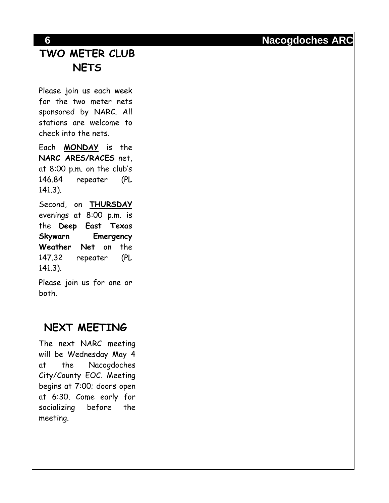# **TWO METER CLUB NETS**

Please join us each week for the two meter nets sponsored by NARC. All stations are welcome to check into the nets.

Each **MONDAY** is the **NARC ARES/RACES** net, at 8:00 p.m. on the club's 146.84 repeater (PL 141.3).

Second, on **THURSDAY** evenings at 8:00 p.m. is the **Deep East Texas Skywarn Emergency Weather Net** on the 147.32 repeater (PL 141.3).

Please join us for one or both.

# **NEXT MEETING**

The next NARC meeting will be Wednesday May 4 at the Nacogdoches City/County EOC. Meeting begins at 7:00; doors open at 6:30. Come early for socializing before the meeting .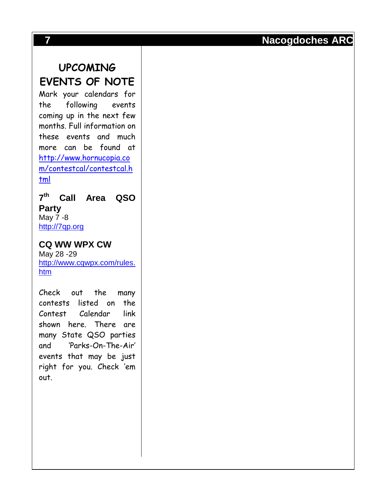## **UPCOMING**

### **EVENTS OF NOTE**

Mark your calendars for the following events coming up in the next few months. Full information on these events and much more can be found at [http://www.hornucopia.co](http://www.hornucopia.com/contestcal/contestcal.html) [m/contestcal/contestcal.h](http://www.hornucopia.com/contestcal/contestcal.html) [tml](http://www.hornucopia.com/contestcal/contestcal.html)

**7 th Call Area QSO Party** May 7 -8 [http://7qp.org](http://7qp.org/)

**CQ WW WPX CW** May 28 -29 [http://www.cqwpx.com/rules.](http://www.cqwpx.com/rules.htm) [htm](http://www.cqwpx.com/rules.htm)

Check out the many contests listed on the Contest Calendar link shown here. There are many State QSO parties and 'Parks -On -The -Air ' events that may be just right for you. Check 'em out.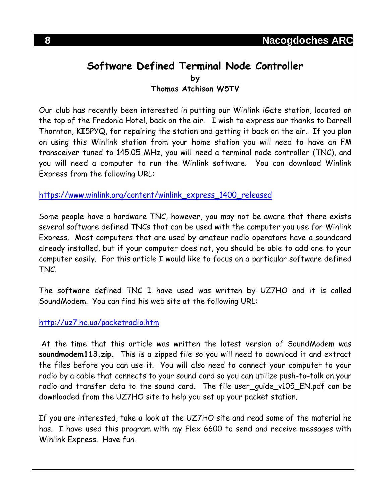#### **Software Defined Terminal Node Controller by Thomas Atchison W5TV**

Our club has recently been interested in putting our Winlink iGate station, located on the top of the Fredonia Hotel, back on the air. I wish to express our thanks to Darrell Thornton, KI5PYQ, for repairing the station and getting it back on the air. If you plan on using this Winlink station from your home station you will need to have an FM transceiver tuned to 145.05 MHz, you will need a terminal node controller (TNC), and you will need a computer to run the Winlink software. You can download Winlink Express from the following URL:

#### [https://www.winlink.org/content/winlink\\_express\\_1400\\_released](https://www.winlink.org/content/winlink_express_1400_released)

Some people have a hardware TNC, however, you may not be aware that there exists several software defined TNCs that can be used with the computer you use for Winlink Express. Most computers that are used by amateur radio operators have a soundcard already installed, but if your computer does not, you should be able to add one to your computer easily. For this article I would like to focus on a particular software defined TNC.

The software defined TNC I have used was written by UZ7HO and it is called SoundModem. You can find his web site at the following URL:

#### <http://uz7.ho.ua/packetradio.htm>

At the time that this article was written the latest version of SoundModem was **soundmodem113.zip.** This is a zipped file so you will need to download it and extract the files before you can use it. You will also need to connect your computer to your radio by a cable that connects to your sound card so you can utilize push-to-talk on your radio and transfer data to the sound card. The file user\_guide\_v105\_EN.pdf can be downloaded from the UZ7HO site to help you set up your packet station.

If you are interested, take a look at the UZ7HO site and read some of the material he has. I have used this program with my Flex 6600 to send and receive messages with Winlink Express. Have fun.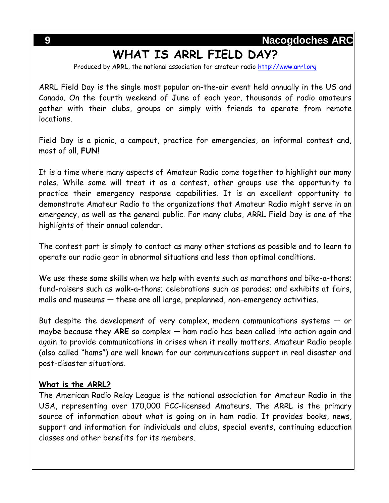# **WHAT IS ARRL FIELD DAY?**

Produced by ARRL, the national association for amateur radio [http://www.arrl.org](http://www.arrl.org/)

ARRL Field Day is the single most popular on-the-air event held annually in the US and Canada. On the fourth weekend of June of each year, thousands of radio amateurs gather with their clubs, groups or simply with friends to operate from remote locations.

Field Day is a picnic, a campout, practice for emergencies, an informal contest and, most of all, **FUN!**

It is a time where many aspects of Amateur Radio come together to highlight our many roles. While some will treat it as a contest, other groups use the opportunity to practice their emergency response capabilities. It is an excellent opportunity to demonstrate Amateur Radio to the organizations that Amateur Radio might serve in an emergency, as well as the general public. For many clubs, ARRL Field Day is one of the highlights of their annual calendar.

The contest part is simply to contact as many other stations as possible and to learn to operate our radio gear in abnormal situations and less than optimal conditions.

We use these same skills when we help with events such as marathons and bike-a-thons; fund-raisers such as walk-a-thons; celebrations such as parades; and exhibits at fairs, malls and museums — these are all large, preplanned, non-emergency activities.

But despite the development of very complex, modern communications systems  $-$  or maybe because they **ARE** so complex — ham radio has been called into action again and again to provide communications in crises when it really matters. Amateur Radio people (also called "hams") are well known for our communications support in real disaster and post-disaster situations.

#### **What is the ARRL?**

The American Radio Relay League is the national association for Amateur Radio in the USA, representing over 170,000 FCC-licensed Amateurs. The ARRL is the primary source of information about what is going on in ham radio. It provides books, news, support and information for individuals and clubs, special events, continuing education classes and other benefits for its members.